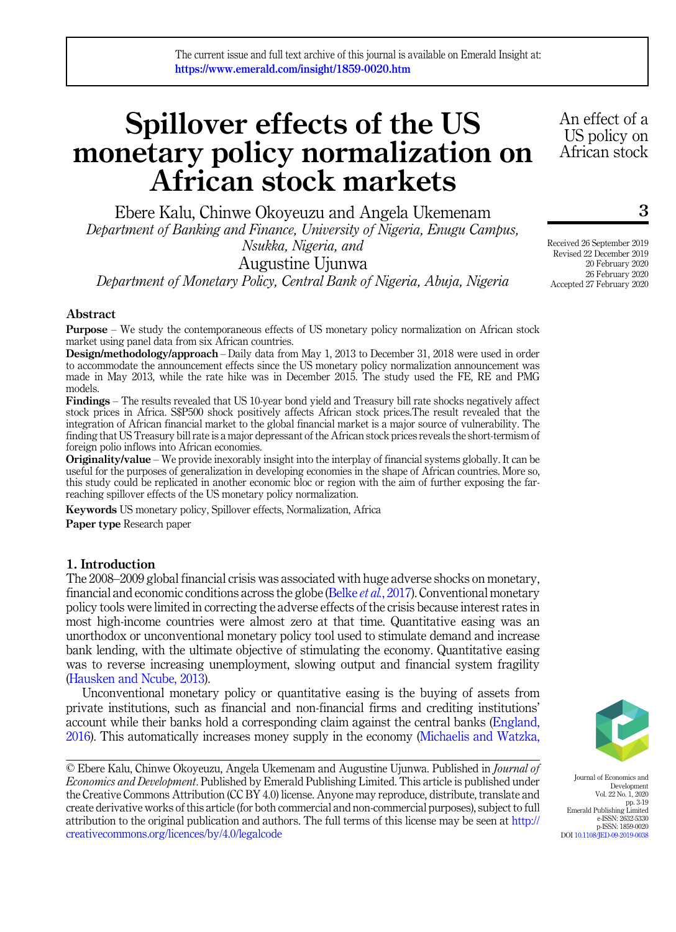# Spillover effects of the US monetary policy normalization on African stock markets

Ebere Kalu, Chinwe Okoyeuzu and Angela Ukemenam Department of Banking and Finance, University of Nigeria, Enugu Campus, Nsukka, Nigeria, and

Augustine Ujunwa

Department of Monetary Policy, Central Bank of Nigeria, Abuja, Nigeria

# Abstract

Purpose – We study the contemporaneous effects of US monetary policy normalization on African stock market using panel data from six African countries.

Design/methodology/approach – Daily data from May 1, 2013 to December 31, 2018 were used in order to accommodate the announcement effects since the US monetary policy normalization announcement was made in May 2013, while the rate hike was in December 2015. The study used the FE, RE and PMG models.

Findings – The results revealed that US 10-year bond yield and Treasury bill rate shocks negatively affect stock prices in Africa. S\$P500 shock positively affects African stock prices.The result revealed that the integration of African financial market to the global financial market is a major source of vulnerability. The finding that US Treasury bill rate is a major depressant of the African stock prices reveals the short-termism of foreign polio inflows into African economies.

**Originality/value** – We provide inexorably insight into the interplay of financial systems globally. It can be useful for the purposes of generalization in developing economies in the shape of African countries. More so, this study could be replicated in another economic bloc or region with the aim of further exposing the farreaching spillover effects of the US monetary policy normalization.

Keywords US monetary policy, Spillover effects, Normalization, Africa

Paper type Research paper

## 1. Introduction

The 2008–2009 global financial crisis was associated with huge adverse shocks on monetary, financial and economic conditions across the globe (Belke *et al.*[, 2017](#page-14-0)). Conventional monetary policy tools were limited in correcting the adverse effects of the crisis because interest rates in most high-income countries were almost zero at that time. Quantitative easing was an unorthodox or unconventional monetary policy tool used to stimulate demand and increase bank lending, with the ultimate objective of stimulating the economy. Quantitative easing was to reverse increasing unemployment, slowing output and financial system fragility ([Hausken and Ncube, 2013](#page-14-1)).

Unconventional monetary policy or quantitative easing is the buying of assets from private institutions, such as financial and non-financial firms and crediting institutions' account while their banks hold a corresponding claim against the central banks ([England,](#page-14-2) [2016\)](#page-14-2). This automatically increases money supply in the economy ([Michaelis and Watzka,](#page-15-0)

<sup>©</sup> Ebere Kalu, Chinwe Okoyeuzu, Angela Ukemenam and Augustine Ujunwa. Published in Journal of *Economics and Development*. Published by Emerald Publishing Limited. This article is published under the Creative Commons Attribution (CC BY 4.0) license. Anyone may reproduce, distribute, translate and create derivative works of this article (for both commercial and non-commercial purposes), subject to full attribution to the original publication and authors. The full terms of this license may be seen at [http://](http://creativecommons.org/licences/by/4.0/legalcode) [creativecommons.org/licences/by/4.0/legalcode](http://creativecommons.org/licences/by/4.0/legalcode)



Journal of Economics and Development Vol. 22 No. 1, 2020 pp. 3-19 Emerald Publishing Limited e-ISSN: 2632-5330 p-ISSN: 1859-0020 DOI [10.1108/JED-09-2019-0038](https://doi.org/10.1108/JED-09-2019-0038)

Received 26 September 2019 Revised 22 December 2019 20 February 2020 26 February 2020 Accepted 27 February 2020

An effect of a US policy on African stock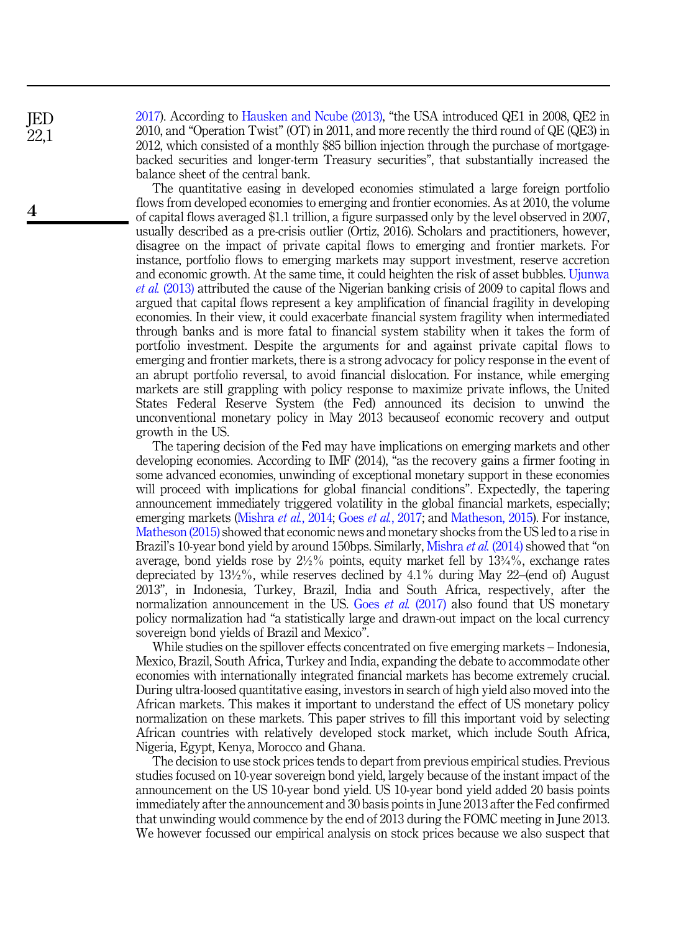[2017\)](#page-15-0). According to [Hausken and Ncube \(2013\)](#page-14-1), "the USA introduced QE1 in 2008, QE2 in 2010, and "Operation Twist" (OT) in 2011, and more recently the third round of QE (QE3) in 2012, which consisted of a monthly \$85 billion injection through the purchase of mortgagebacked securities and longer-term Treasury securities", that substantially increased the balance sheet of the central bank.

The quantitative easing in developed economies stimulated a large foreign portfolio flows from developed economies to emerging and frontier economies. As at 2010, the volume of capital flows averaged \$1.1 trillion, a figure surpassed only by the level observed in 2007, usually described as a pre-crisis outlier (Ortiz, 2016). Scholars and practitioners, however, disagree on the impact of private capital flows to emerging and frontier markets. For instance, portfolio flows to emerging markets may support investment, reserve accretion and economic growth. At the same time, it could heighten the risk of asset bubbles. [Ujunwa](#page-16-0) et al. [\(2013\)](#page-16-0) attributed the cause of the Nigerian banking crisis of 2009 to capital flows and argued that capital flows represent a key amplification of financial fragility in developing economies. In their view, it could exacerbate financial system fragility when intermediated through banks and is more fatal to financial system stability when it takes the form of portfolio investment. Despite the arguments for and against private capital flows to emerging and frontier markets, there is a strong advocacy for policy response in the event of an abrupt portfolio reversal, to avoid financial dislocation. For instance, while emerging markets are still grappling with policy response to maximize private inflows, the United States Federal Reserve System (the Fed) announced its decision to unwind the unconventional monetary policy in May 2013 becauseof economic recovery and output growth in the US.

The tapering decision of the Fed may have implications on emerging markets and other developing economies. According to IMF (2014), "as the recovery gains a firmer footing in some advanced economies, unwinding of exceptional monetary support in these economies will proceed with implications for global financial conditions". Expectedly, the tapering announcement immediately triggered volatility in the global financial markets, especially; emerging markets [\(Mishra](#page-15-1) *et al.*, 2014; Goes *et al.*[, 2017](#page-14-3); and [Matheson, 2015\)](#page-15-2). For instance, [Matheson \(2015\)](#page-15-2) showed that economic news and monetary shocks from the US led to a rise in Brazil's 10-year bond yield by around 150bps. Similarly, [Mishra](#page-15-1) *et al.* (2014) showed that "on average, bond yields rose by  $2\frac{1}{2}\%$  points, equity market fell by  $13\frac{1}{4}\%$ , exchange rates depreciated by  $13\frac{1}{2}\%$ , while reserves declined by  $4.1\%$  during May 22–(end of) August 2013", in Indonesia, Turkey, Brazil, India and South Africa, respectively, after the normalization announcement in the US. Goes *et al.*  $(2017)$  also found that US monetary policy normalization had "a statistically large and drawn-out impact on the local currency sovereign bond yields of Brazil and Mexico".

While studies on the spillover effects concentrated on five emerging markets – Indonesia, Mexico, Brazil, South Africa, Turkey and India, expanding the debate to accommodate other economies with internationally integrated financial markets has become extremely crucial. During ultra-loosed quantitative easing, investors in search of high yield also moved into the African markets. This makes it important to understand the effect of US monetary policy normalization on these markets. This paper strives to fill this important void by selecting African countries with relatively developed stock market, which include South Africa, Nigeria, Egypt, Kenya, Morocco and Ghana.

The decision to use stock prices tends to depart from previous empirical studies. Previous studies focused on 10-year sovereign bond yield, largely because of the instant impact of the announcement on the US 10-year bond yield. US 10-year bond yield added 20 basis points immediately after the announcement and 30 basis points in June 2013 after the Fed confirmed that unwinding would commence by the end of 2013 during the FOMC meeting in June 2013. We however focussed our empirical analysis on stock prices because we also suspect that

JED 22,1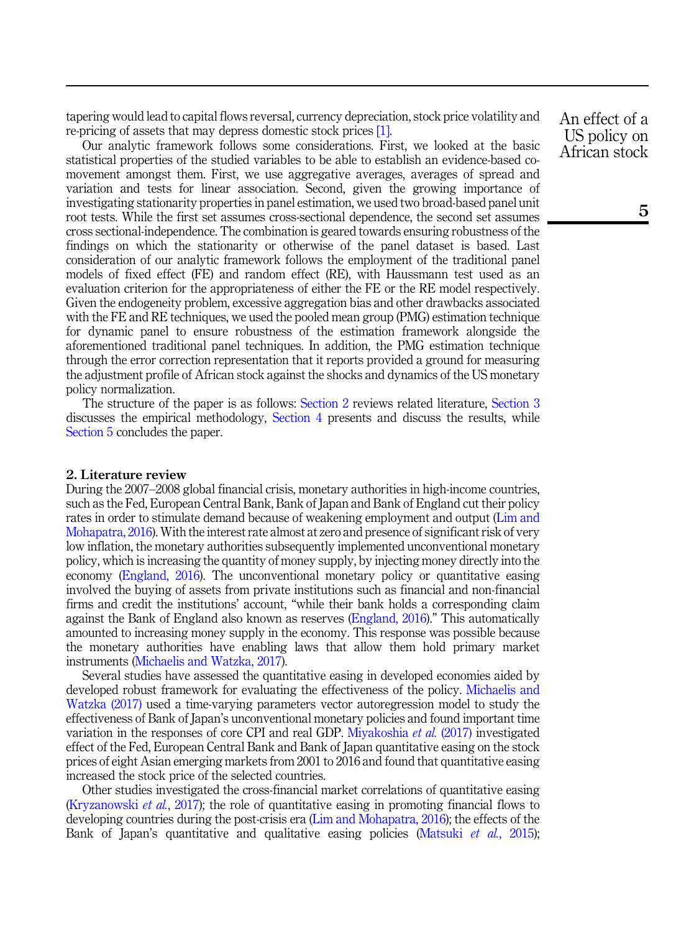tapering would lead to capital flows reversal, currency depreciation, stock price volatility and re-pricing of assets that may depress domestic stock prices [\[1\]](#page-13-0).

Our analytic framework follows some considerations. First, we looked at the basic statistical properties of the studied variables to be able to establish an evidence-based comovement amongst them. First, we use aggregative averages, averages of spread and variation and tests for linear association. Second, given the growing importance of investigating stationarity properties in panel estimation, we used two broad-based panel unit root tests. While the first set assumes cross-sectional dependence, the second set assumes cross sectional-independence. The combination is geared towards ensuring robustness of the findings on which the stationarity or otherwise of the panel dataset is based. Last consideration of our analytic framework follows the employment of the traditional panel models of fixed effect (FE) and random effect (RE), with Haussmann test used as an evaluation criterion for the appropriateness of either the FE or the RE model respectively. Given the endogeneity problem, excessive aggregation bias and other drawbacks associated with the FE and RE techniques, we used the pooled mean group (PMG) estimation technique for dynamic panel to ensure robustness of the estimation framework alongside the aforementioned traditional panel techniques. In addition, the PMG estimation technique through the error correction representation that it reports provided a ground for measuring the adjustment profile of African stock against the shocks and dynamics of the US monetary policy normalization.

The structure of the paper is as follows: [Section 2](#page-2-0) reviews related literature, [Section 3](#page-4-0) discusses the empirical methodology, [Section 4](#page-6-0) presents and discuss the results, while [Section 5](#page-13-1) concludes the paper.

## <span id="page-2-0"></span>2. Literature review

During the 2007–2008 global financial crisis, monetary authorities in high-income countries, such as the Fed, European Central Bank, Bank of Japan and Bank of England cut their policy rates in order to stimulate demand because of weakening employment and output [\(Lim and](#page-15-3) [Mohapatra, 2016](#page-15-3)). With the interest rate almost at zero and presence of significant risk of very low inflation, the monetary authorities subsequently implemented unconventional monetary policy, which is increasing the quantity of money supply, by injecting money directly into the economy [\(England, 2016\)](#page-14-2). The unconventional monetary policy or quantitative easing involved the buying of assets from private institutions such as financial and non-financial firms and credit the institutions' account, "while their bank holds a corresponding claim against the Bank of England also known as reserves [\(England, 2016](#page-14-2))." This automatically amounted to increasing money supply in the economy. This response was possible because the monetary authorities have enabling laws that allow them hold primary market instruments ([Michaelis and Watzka, 2017\)](#page-15-0).

Several studies have assessed the quantitative easing in developed economies aided by developed robust framework for evaluating the effectiveness of the policy. [Michaelis and](#page-15-0) [Watzka \(2017\)](#page-15-0) used a time-varying parameters vector autoregression model to study the effectiveness of Bank of Japan's unconventional monetary policies and found important time variation in the responses of core CPI and real GDP. [Miyakoshia](#page-15-4) et al. (2017) investigated effect of the Fed, European Central Bank and Bank of Japan quantitative easing on the stock prices of eight Asian emerging markets from 2001 to 2016 and found that quantitative easing increased the stock price of the selected countries.

Other studies investigated the cross-financial market correlations of quantitative easing ([Kryzanowski](#page-15-5) et al., 2017); the role of quantitative easing in promoting financial flows to developing countries during the post-crisis era [\(Lim and Mohapatra, 2016](#page-15-3)); the effects of the Bank of Japan's quantitative and qualitative easing policies [\(Matsuki](#page-15-6) et al., 2015);

An effect of a US policy on African stock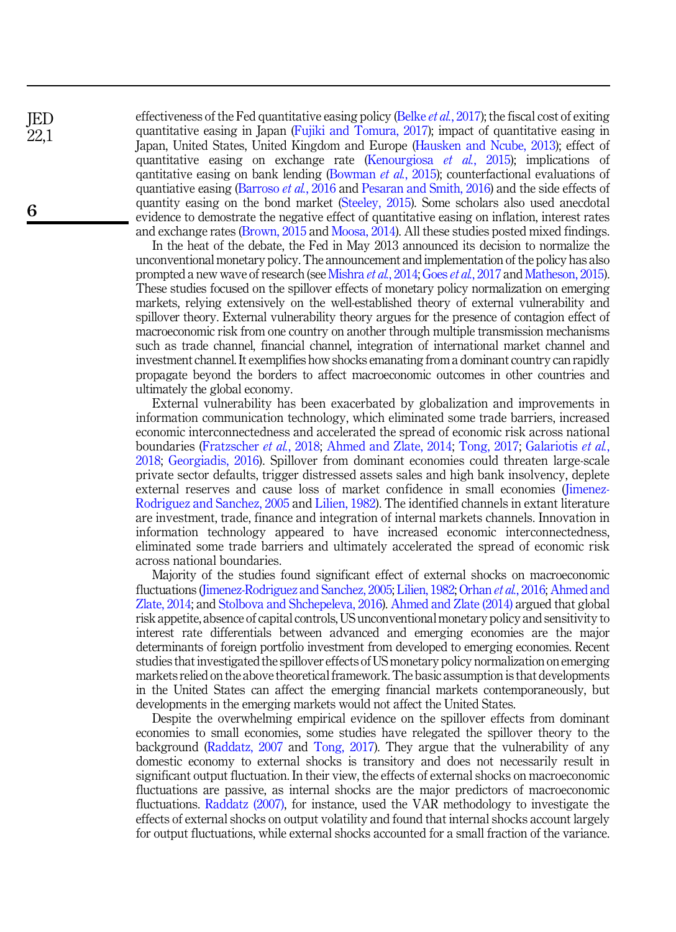effectiveness of the Fed quantitative easing policy (Belke *et al.*[, 2017\)](#page-14-0); the fiscal cost of exiting quantitative easing in Japan ([Fujiki and Tomura, 2017](#page-14-4)); impact of quantitative easing in Japan, United States, United Kingdom and Europe [\(Hausken and Ncube, 2013\)](#page-14-1); effect of quantitative easing on exchange rate [\(Kenourgiosa](#page-15-7) *et al.*, 2015); implications of qantitative easing on bank lending ([Bowman](#page-14-5) et  $al$ , 2015); counterfactional evaluations of quantiative easing ([Barroso](#page-14-6) *et al.*, 2016 and [Pesaran and Smith, 2016\)](#page-15-8) and the side effects of quantity easing on the bond market [\(Steeley, 2015\)](#page-16-1). Some scholars also used anecdotal evidence to demostrate the negative effect of quantitative easing on inflation, interest rates and exchange rates ([Brown, 2015](#page-14-7) and [Moosa, 2014\)](#page-15-9). All these studies posted mixed findings.

In the heat of the debate, the Fed in May 2013 announced its decision to normalize the unconventional monetary policy. The announcement and implementation of the policy has also prompted a new wave of research (see [Mishra](#page-15-1) *et al.*, 2014; Goes *et al.*[, 2017](#page-14-3) and [Matheson, 2015\)](#page-15-2). These studies focused on the spillover effects of monetary policy normalization on emerging markets, relying extensively on the well-established theory of external vulnerability and spillover theory. External vulnerability theory argues for the presence of contagion effect of macroeconomic risk from one country on another through multiple transmission mechanisms such as trade channel, financial channel, integration of international market channel and investment channel. It exemplifies how shocks emanating from a dominant country can rapidly propagate beyond the borders to affect macroeconomic outcomes in other countries and ultimately the global economy.

External vulnerability has been exacerbated by globalization and improvements in information communication technology, which eliminated some trade barriers, increased economic interconnectedness and accelerated the spread of economic risk across national boundaries ([Fratzscher](#page-14-8) et al., 2018; [Ahmed and Zlate, 2014](#page-13-2); [Tong, 2017;](#page-16-2) [Galariotis](#page-14-9) et al., [2018](#page-14-9); [Georgiadis, 2016](#page-14-10)). Spillover from dominant economies could threaten large-scale private sector defaults, trigger distressed assets sales and high bank insolvency, deplete external reserves and cause loss of market confidence in small economies ([Jimenez-](#page-15-10)[Rodriguez and Sanchez, 2005](#page-15-10) and [Lilien, 1982](#page-15-11)). The identified channels in extant literature are investment, trade, finance and integration of internal markets channels. Innovation in information technology appeared to have increased economic interconnectedness, eliminated some trade barriers and ultimately accelerated the spread of economic risk across national boundaries.

Majority of the studies found significant effect of external shocks on macroeconomic fluctuations ([Jimenez-Rodriguez and Sanchez, 2005](#page-15-10); [Lilien, 1982;](#page-15-11) [Orhan](#page-15-12) et al., 2016; [Ahmed and](#page-13-2) [Zlate, 2014](#page-13-2); and [Stolbova and Shchepeleva, 2016\)](#page-16-3). [Ahmed and Zlate \(2014\)](#page-13-2) argued that global risk appetite, absence of capital controls, US unconventional monetary policy and sensitivity to interest rate differentials between advanced and emerging economies are the major determinants of foreign portfolio investment from developed to emerging economies. Recent studies that investigated the spillover effects of US monetary policy normalization on emerging markets relied on the above theoretical framework. The basic assumption is that developments in the United States can affect the emerging financial markets contemporaneously, but developments in the emerging markets would not affect the United States.

Despite the overwhelming empirical evidence on the spillover effects from dominant economies to small economies, some studies have relegated the spillover theory to the background [\(Raddatz, 2007](#page-15-13) and [Tong, 2017](#page-16-2)). They argue that the vulnerability of any domestic economy to external shocks is transitory and does not necessarily result in significant output fluctuation. In their view, the effects of external shocks on macroeconomic fluctuations are passive, as internal shocks are the major predictors of macroeconomic fluctuations. [Raddatz \(2007\)](#page-15-13), for instance, used the VAR methodology to investigate the effects of external shocks on output volatility and found that internal shocks account largely for output fluctuations, while external shocks accounted for a small fraction of the variance.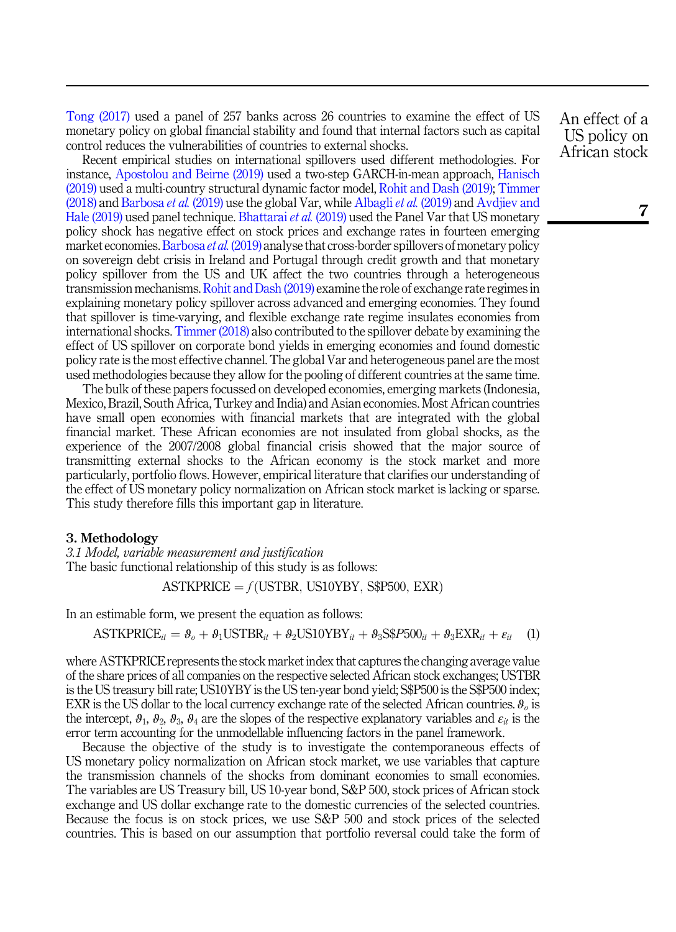[Tong \(2017\)](#page-16-2) used a panel of 257 banks across 26 countries to examine the effect of US monetary policy on global financial stability and found that internal factors such as capital control reduces the vulnerabilities of countries to external shocks.

Recent empirical studies on international spillovers used different methodologies. For instance, [Apostolou and Beirne \(2019\)](#page-14-11) used a two-step GARCH-in-mean approach, [Hanisch](#page-14-12) [\(2019\)](#page-14-12) used a multi-country structural dynamic factor model, [Rohit and Dash \(2019\);](#page-16-4) [Timmer](#page-16-5)  $(2018)$  and [Barbosa](#page-14-13) *et al.*  $(2019)$  use the global Var, while [Albagli](#page-13-3) *et al.*  $(2019)$  and [Avdjiev and](#page-14-14) [Hale \(2019\)](#page-14-14) used panel technique. [Bhattarai](#page-14-15) *et al.* (2019) used the Panel Var that US monetary policy shock has negative effect on stock prices and exchange rates in fourteen emerging market economies. [Barbosa](#page-14-13) et al. (2019) analyse that cross-border spillovers of monetary policy on sovereign debt crisis in Ireland and Portugal through credit growth and that monetary policy spillover from the US and UK affect the two countries through a heterogeneous transmission mechanisms. [Rohit and Dash \(2019\)](#page-16-4) examine the role of exchange rate regimes in explaining monetary policy spillover across advanced and emerging economies. They found that spillover is time-varying, and flexible exchange rate regime insulates economies from international shocks. [Timmer \(2018\)](#page-16-5) also contributed to the spillover debate by examining the effect of US spillover on corporate bond yields in emerging economies and found domestic policy rate is the most effective channel. The global Var and heterogeneous panel are the most used methodologies because they allow for the pooling of different countries at the same time.

The bulk of these papers focussed on developed economies, emerging markets (Indonesia, Mexico, Brazil, South Africa, Turkey and India) and Asian economies. Most African countries have small open economies with financial markets that are integrated with the global financial market. These African economies are not insulated from global shocks, as the experience of the 2007/2008 global financial crisis showed that the major source of transmitting external shocks to the African economy is the stock market and more particularly, portfolio flows. However, empirical literature that clarifies our understanding of the effect of US monetary policy normalization on African stock market is lacking or sparse. This study therefore fills this important gap in literature.

## <span id="page-4-0"></span>3. Methodology

3.1 Model, variable measurement and justification The basic functional relationship of this study is as follows:

ASTKPRICE = 
$$
f
$$
(USTBR, US10YBY, S\$P500, EXR)

In an estimable form, we present the equation as follows:

$$
\text{ASTKPRICE}_{it} = \theta_o + \theta_1 \text{USTBR}_{it} + \theta_2 \text{US10YBY}_{it} + \theta_3 \text{S\$P500}_{it} + \theta_3 \text{EXR}_{it} + \varepsilon_{it} \tag{1}
$$

where ASTKPRICE represents the stock market index that captures the changing average value of the share prices of all companies on the respective selected African stock exchanges; USTBR is the US treasury bill rate; US10YBY is the US ten-year bond yield; S\$P500 is the S\$P500 index; EXR is the US dollar to the local currency exchange rate of the selected African countries.  $\vartheta_o$  is the intercept,  $\theta_1$ ,  $\theta_2$ ,  $\theta_3$ ,  $\theta_4$  are the slopes of the respective explanatory variables and  $\varepsilon_{it}$  is the error term accounting for the unmodellable influencing factors in the panel framework.

Because the objective of the study is to investigate the contemporaneous effects of US monetary policy normalization on African stock market, we use variables that capture the transmission channels of the shocks from dominant economies to small economies. The variables are US Treasury bill, US 10-year bond, S&P 500, stock prices of African stock exchange and US dollar exchange rate to the domestic currencies of the selected countries. Because the focus is on stock prices, we use S&P 500 and stock prices of the selected countries. This is based on our assumption that portfolio reversal could take the form of An effect of a US policy on African stock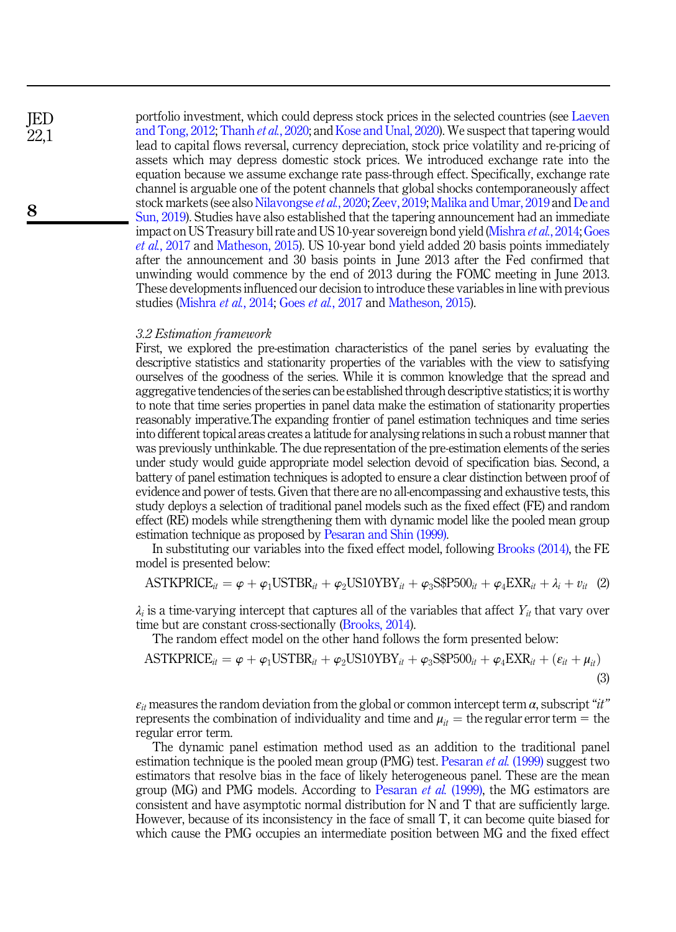portfolio investment, which could depress stock prices in the selected countries (see [Laeven](#page-15-14) [and Tong, 2012](#page-15-14); [Thanh](#page-16-6) et al., 2020; and [Kose and Unal, 2020](#page-15-15)). We suspect that tapering would lead to capital flows reversal, currency depreciation, stock price volatility and re-pricing of assets which may depress domestic stock prices. We introduced exchange rate into the equation because we assume exchange rate pass-through effect. Specifically, exchange rate channel is arguable one of the potent channels that global shocks contemporaneously affect stock markets (see also [Nilavongse](#page-15-16) et al., 2020; [Zeev, 2019](#page-16-7); [Malika and Umar, 2019](#page-15-17) and [De and](#page-14-16) [Sun, 2019\)](#page-14-16). Studies have also established that the tapering announcement had an immediate impact on US Treasury bill rate and US 10-year sovereign bond yield ([Mishra](#page-15-1) et al., 2014; [Goes](#page-14-3) et al.[, 2017](#page-14-3) and [Matheson, 2015](#page-15-2)). US 10-year bond yield added 20 basis points immediately after the announcement and 30 basis points in June 2013 after the Fed confirmed that unwinding would commence by the end of 2013 during the FOMC meeting in June 2013. These developments influenced our decision to introduce these variables in line with previous studies [\(Mishra](#page-15-1) et al., 2014; Goes et al.[, 2017](#page-14-3) and [Matheson, 2015](#page-15-2)).

# 3.2 Estimation framework

First, we explored the pre-estimation characteristics of the panel series by evaluating the descriptive statistics and stationarity properties of the variables with the view to satisfying ourselves of the goodness of the series. While it is common knowledge that the spread and aggregative tendencies of the series can be established through descriptive statistics; it is worthy to note that time series properties in panel data make the estimation of stationarity properties reasonably imperative.The expanding frontier of panel estimation techniques and time series into different topical areas creates a latitude for analysing relations in such a robust manner that was previously unthinkable. The due representation of the pre-estimation elements of the series under study would guide appropriate model selection devoid of specification bias. Second, a battery of panel estimation techniques is adopted to ensure a clear distinction between proof of evidence and power of tests. Given that there are no all-encompassing and exhaustive tests, this study deploys a selection of traditional panel models such as the fixed effect (FE) and random effect (RE) models while strengthening them with dynamic model like the pooled mean group estimation technique as proposed by [Pesaran and Shin \(1999\).](#page-15-18)

In substituting our variables into the fixed effect model, following [Brooks \(2014\)](#page-14-17), the FE model is presented below:

$$
\text{ASTKPRICE}_{it} = \varphi + \varphi_1 \text{USTBR}_{it} + \varphi_2 \text{US10YBY}_{it} + \varphi_3 \text{S\$P500}_{it} + \varphi_4 \text{EXR}_{it} + \lambda_i + v_{it} \quad (2)
$$

 $\lambda_i$  is a time-varying intercept that captures all of the variables that affect  $Y_{it}$  that vary over time but are constant cross-sectionally [\(Brooks, 2014](#page-14-17)).

<span id="page-5-0"></span>The random effect model on the other hand follows the form presented below:

ASTKPRICE<sub>it</sub> = 
$$
\varphi + \varphi_1 \text{USTBR}_{it} + \varphi_2 \text{US10YBY}_{it} + \varphi_3 \text{S$P500}_{it} + \varphi_4 \text{EXR}_{it} + (\varepsilon_{it} + \mu_{it})
$$
 (3)

 $\varepsilon_{it}$  measures the random deviation from the global or common intercept term  $\alpha$ , subscript "it" represents the combination of individuality and time and  $\mu_{it}$  = the regular error term = the regular error term.

The dynamic panel estimation method used as an addition to the traditional panel estimation technique is the pooled mean group (PMG) test. [Pesaran](#page-15-19) et al. (1999) suggest two estimators that resolve bias in the face of likely heterogeneous panel. These are the mean group (MG) and PMG models. According to [Pesaran](#page-15-19) et al. (1999), the MG estimators are consistent and have asymptotic normal distribution for N and T that are sufficiently large. However, because of its inconsistency in the face of small T, it can become quite biased for which cause the PMG occupies an intermediate position between MG and the fixed effect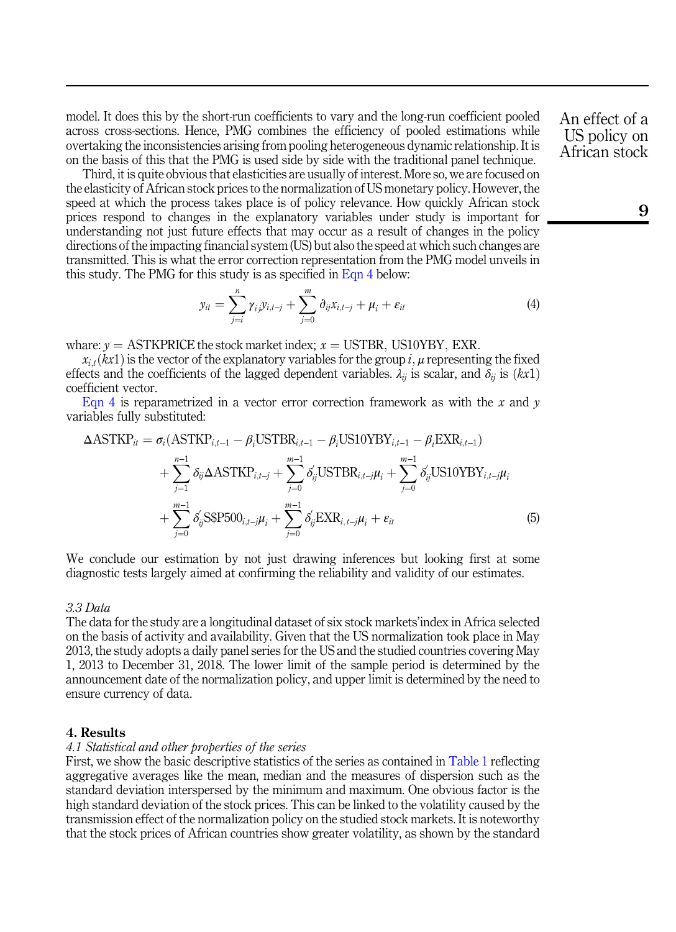model. It does this by the short-run coefficients to vary and the long-run coefficient pooled across cross-sections. Hence, PMG combines the efficiency of pooled estimations while overtaking the inconsistencies arising from pooling heterogeneous dynamic relationship. It is on the basis of this that the PMG is used side by side with the traditional panel technique.

Third, it is quite obvious that elasticities are usually of interest. More so, we are focused on the elasticity of African stock prices to the normalization of US monetary policy. However, the speed at which the process takes place is of policy relevance. How quickly African stock prices respond to changes in the explanatory variables under study is important for understanding not just future effects that may occur as a result of changes in the policy directions of the impacting financial system (US) but also the speed at which such changes are transmitted. This is what the error correction representation from the PMG model unveils in

this study. The PMG for this study is as specified in Eqn 4 below:  
\n
$$
y_{it} = \sum_{j=i}^{n} \gamma_{ij} y_{i,t-j} + \sum_{j=0}^{m} \partial_{ij} x_{i,t-j} + \mu_i + \varepsilon_{it}
$$
\n(4)

whare:  $y =$  ASTKPRICE the stock market index;  $x =$  USTBR, US10YBY, EXR.

 $x_{i,t}(kx1)$  is the vector of the explanatory variables for the group i,  $\mu$  representing the fixed effects and the coefficients of the lagged dependent variables.  $\lambda_{ij}$  is scalar, and  $\delta_{ij}$  is  $(kx1)$ coefficient vector.

[Eqn 4](#page-5-0) is reparametrized in a vector error correction framework as with the  $x$  and  $y$ variables fully substituted:

iables fully substituted:  
\n
$$
\Delta \text{ASTKP}_{it} = \sigma_i(\text{ASTKP}_{i,t-1} - \beta_i \text{USTBR}_{i,t-1} - \beta_i \text{US10YBY}_{i,t-1} - \beta_i \text{EXP}_{i,t-1}) + \sum_{j=1}^{n-1} \delta_{ij} \Delta \text{ASTKP}_{i,t-j} + \sum_{j=0}^{m-1} \delta'_{ij} \text{USTBR}_{i,t-j} \mu_i + \sum_{j=0}^{m-1} \delta'_{ij} \text{US10YBY}_{i,t-j} \mu_i + \sum_{j=0}^{m-1} \delta'_{ij} \text{SSP500}_{i,t-j} \mu_i + \sum_{j=0}^{m-1} \delta'_{ij} \text{EXP}_{i,t-j} \mu_i + \epsilon_{it}
$$
\n(5)

We conclude our estimation by not just drawing inferences but looking first at some diagnostic tests largely aimed at confirming the reliability and validity of our estimates.

# 3.3 Data

The data for the study are a longitudinal dataset of six stock markets'index in Africa selected on the basis of activity and availability. Given that the US normalization took place in May 2013, the study adopts a daily panel series for the US and the studied countries covering May 1, 2013 to December 31, 2018. The lower limit of the sample period is determined by the announcement date of the normalization policy, and upper limit is determined by the need to ensure currency of data.

# <span id="page-6-0"></span>4. Results

#### 4.1 Statistical and other properties of the series

First, we show the basic descriptive statistics of the series as contained in [Table 1](#page-7-0) reflecting aggregative averages like the mean, median and the measures of dispersion such as the standard deviation interspersed by the minimum and maximum. One obvious factor is the high standard deviation of the stock prices. This can be linked to the volatility caused by the transmission effect of the normalization policy on the studied stock markets. It is noteworthy that the stock prices of African countries show greater volatility, as shown by the standard An effect of a US policy on African stock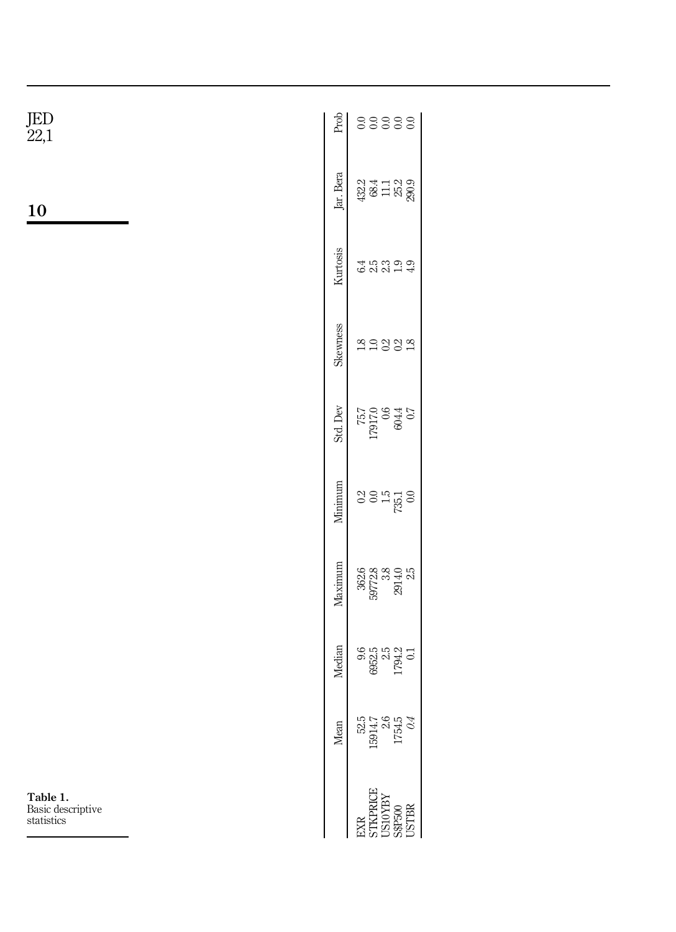|                                               | Mean                                                          | <b>Median</b>           | Maximum                              | Minimum              | Std. Dev                      | Skewness | Kurtosis | Jar. Bera                              | .<br>Fot |
|-----------------------------------------------|---------------------------------------------------------------|-------------------------|--------------------------------------|----------------------|-------------------------------|----------|----------|----------------------------------------|----------|
| 3XR<br>STKPRICE<br>US10YBY<br>S&P500<br>USTBR | 52.5                                                          | 9.6                     | 362.6<br>39772.8<br>3914.0<br>2914.0 | 0.2<br>$\frac{1}{2}$ | 7.0<br>970<br>0.21621<br>1.52 |          |          | 32 4 1 1 2 9<br>3 3 1 1 2 9<br>3 3 2 9 |          |
|                                               | $\begin{array}{c} 5914.7 \\ 2.6 \\ 1754.5 \\ 0.4 \end{array}$ | 352.5<br>794.2<br>794.2 |                                      |                      |                               |          | 23       |                                        | ≍        |
|                                               |                                                               |                         |                                      | $\frac{15}{250}$     |                               |          | ق        |                                        |          |
|                                               |                                                               |                         |                                      |                      |                               |          |          |                                        |          |
|                                               |                                                               |                         |                                      |                      |                               |          |          |                                        |          |

Table 1. Basic descriptive statistics

<span id="page-7-0"></span>10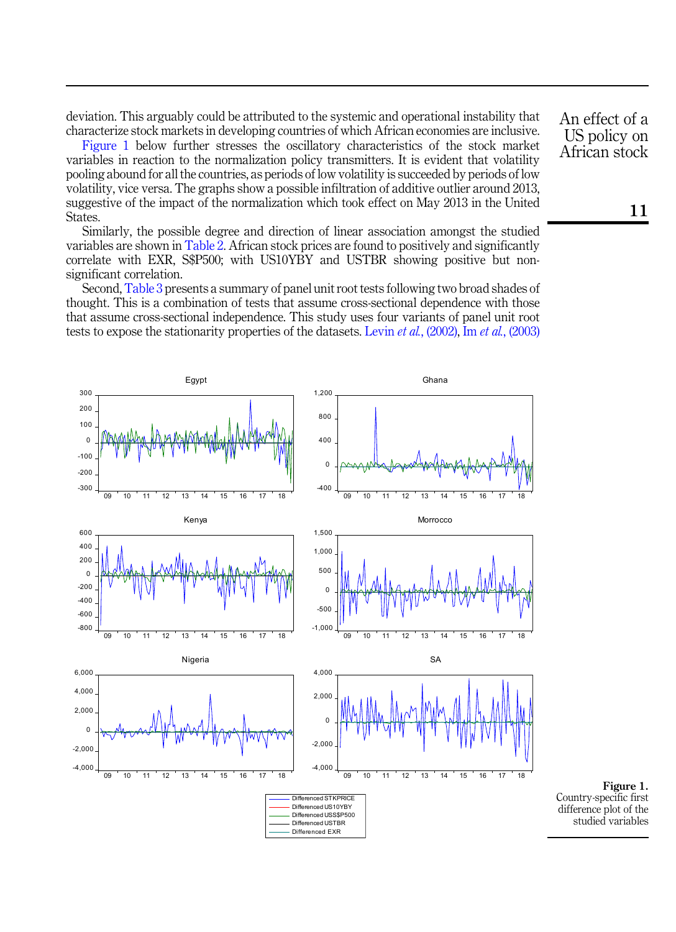deviation. This arguably could be attributed to the systemic and operational instability that characterize stock markets in developing countries of which African economies are inclusive.

Figure 1 below further stresses the oscillatory characteristics of the stock market variables in reaction to the normalization policy transmitters. It is evident that volatility pooling abound for all the countries, as periods of low volatility is succeeded by periods of low volatility, vice versa. The graphs show a possible infiltration of additive outlier around 2013, suggestive of the impact of the normalization which took effect on May 2013 in the United States.

Similarly, the possible degree and direction of linear association amongst the studied variables are shown in [Table 2](#page-9-0). African stock prices are found to positively and significantly correlate with EXR, S\$P500; with US10YBY and USTBR showing positive but nonsignificant correlation.

Second, [Table 3](#page-10-0) presents a summary of panel unit root tests following two broad shades of thought. This is a combination of tests that assume cross-sectional dependence with those that assume cross-sectional independence. This study uses four variants of panel unit root tests to expose the stationarity properties of the datasets. Levin *et al.*[, \(2002\),](#page-15-20) Im *et al.*[, \(2003\)](#page-15-20)



An effect of a US policy on African stock

Figure 1. Country-specific first difference plot of the studied variables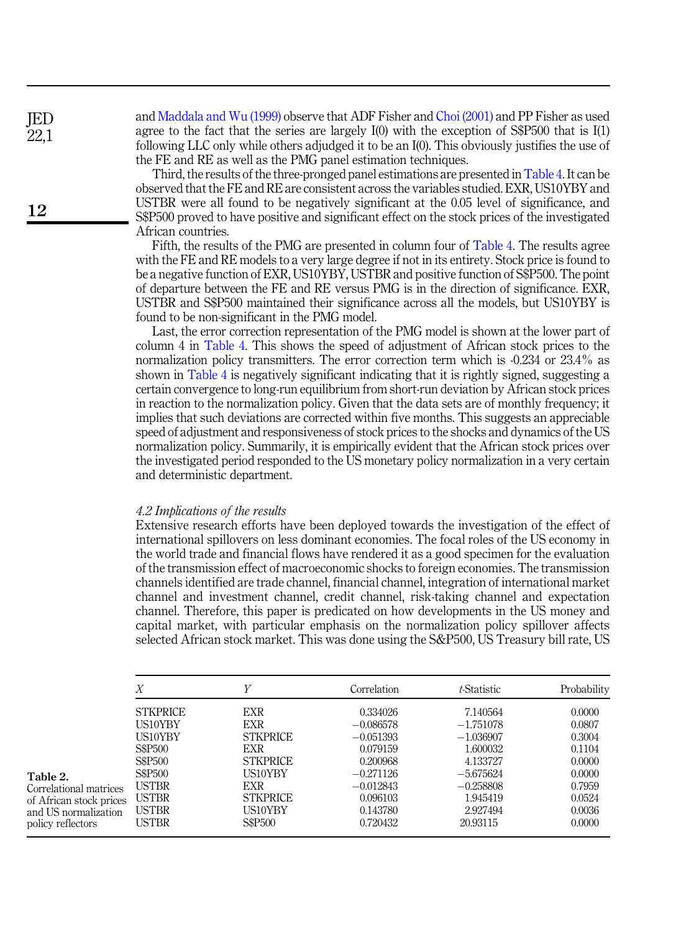<span id="page-9-0"></span>and [Maddala and Wu \(1999\)](#page-15-21) observe that ADF Fisher and [Choi \(2001\)](#page-14-18) and PP Fisher as used agree to the fact that the series are largely I(0) with the exception of S\$P500 that is I(1) following LLC only while others adjudged it to be an I(0). This obviously justifies the use of the FE and RE as well as the PMG panel estimation techniques.

Third, the results of the three-pronged panel estimations are presented in [Table 4](#page-11-0). It can be observed that the FE and RE are consistent across the variables studied. EXR, US10YBY and USTBR were all found to be negatively significant at the 0.05 level of significance, and S\$P500 proved to have positive and significant effect on the stock prices of the investigated African countries.

Fifth, the results of the PMG are presented in column four of [Table 4](#page-11-0). The results agree with the FE and RE models to a very large degree if not in its entirety. Stock price is found to be a negative function of EXR, US10YBY, USTBR and positive function of S\$P500. The point of departure between the FE and RE versus PMG is in the direction of significance. EXR, USTBR and S\$P500 maintained their significance across all the models, but US10YBY is found to be non-significant in the PMG model.

Last, the error correction representation of the PMG model is shown at the lower part of column 4 in [Table 4.](#page-11-0) This shows the speed of adjustment of African stock prices to the normalization policy transmitters. The error correction term which is -0.234 or 23.4% as shown in [Table 4](#page-11-0) is negatively significant indicating that it is rightly signed, suggesting a certain convergence to long-run equilibrium from short-run deviation by African stock prices in reaction to the normalization policy. Given that the data sets are of monthly frequency; it implies that such deviations are corrected within five months. This suggests an appreciable speed of adjustment and responsiveness of stock prices to the shocks and dynamics of the US normalization policy. Summarily, it is empirically evident that the African stock prices over the investigated period responded to the US monetary policy normalization in a very certain and deterministic department.

#### 4.2 Implications of the results

Extensive research efforts have been deployed towards the investigation of the effect of international spillovers on less dominant economies. The focal roles of the US economy in the world trade and financial flows have rendered it as a good specimen for the evaluation of the transmission effect of macroeconomic shocks to foreign economies. The transmission channels identified are trade channel, financial channel, integration of international market channel and investment channel, credit channel, risk-taking channel and expectation channel. Therefore, this paper is predicated on how developments in the US money and capital market, with particular emphasis on the normalization policy spillover affects selected African stock market. This was done using the S&P500, US Treasury bill rate, US

|                                                                                                            | Х                                                                                                                                                       | V                                                                                                                                 | Correlation                                                                                                                      | t-Statistic                                                                                                                      | Probability                                                                                      |
|------------------------------------------------------------------------------------------------------------|---------------------------------------------------------------------------------------------------------------------------------------------------------|-----------------------------------------------------------------------------------------------------------------------------------|----------------------------------------------------------------------------------------------------------------------------------|----------------------------------------------------------------------------------------------------------------------------------|--------------------------------------------------------------------------------------------------|
| Table 2.<br>Correlational matrices<br>of African stock prices<br>and US normalization<br>policy reflectors | <b>STKPRICE</b><br>US10YBY<br>US10YBY<br>S\$P500<br>S\$P <sub>500</sub><br>S\$P <sub>500</sub><br><b>USTBR</b><br><b>USTBR</b><br><b>USTBR</b><br>USTBR | <b>EXR</b><br>EXR<br><b>STKPRICE</b><br><b>EXR</b><br><b>STKPRICE</b><br>US10YBY<br>EXR.<br><b>STKPRICE</b><br>US10YBY<br>S\$P500 | 0.334026<br>$-0.086578$<br>$-0.051393$<br>0.079159<br>0.200968<br>$-0.271126$<br>$-0.012843$<br>0.096103<br>0.143780<br>0.720432 | 7.140564<br>$-1.751078$<br>$-1.036907$<br>1.600032<br>4.133727<br>$-5.675624$<br>$-0.258808$<br>1.945419<br>2.927494<br>20.93115 | 0.0000<br>0.0807<br>0.3004<br>0.1104<br>0.0000<br>0.0000<br>0.7959<br>0.0524<br>0.0036<br>0.0000 |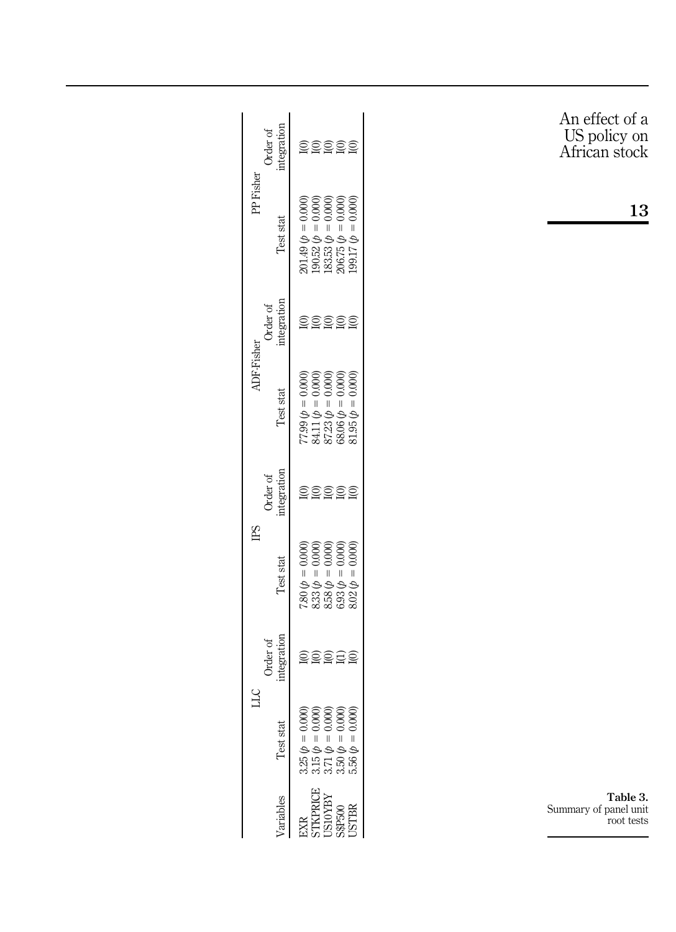<span id="page-10-0"></span>

|                | integration<br>Order of | <u>aaaaa</u>                                                                                                                                                                            | An effect of a<br>US policy on<br>African stock |
|----------------|-------------------------|-----------------------------------------------------------------------------------------------------------------------------------------------------------------------------------------|-------------------------------------------------|
| PP Fisher      | Test stat               | $\begin{array}{c} 201.49\,(\rho=0.000)\\ 190.52\,(\rho=0.000)\\ 183.53\,(\rho=0.000)\\ 206.75\,(\rho=0.000)\\ 206.75\,(\rho=0.000)\\ 199.17\,(\rho=0.000) \end{array}$                  | 13                                              |
|                | integration<br>Order of | <u>aasaa</u>                                                                                                                                                                            |                                                 |
| ADF-Fisher     | Test stat               | $\begin{array}{l} 77.99 \; \phi = 0.0000 \\ 84.11 \; \phi = 0.0000 \\ 87.23 \; \phi = 0.0000 \\ 68.06 \; \phi = 0.0000 \\ 68.06 \; \phi = 0.0000 \\ 81.95 \; \phi = 0.0000 \end{array}$ |                                                 |
|                | integration<br>Order of | <u> ବ୍ରତ୍ତ୍ର ବ୍ର</u>                                                                                                                                                                    |                                                 |
| E <sub>S</sub> | Test stat               | 7.80 $\phi$ = 0.000)<br>8.33 $\phi$ = 0.000)<br>8.38 $\phi$ = 0.000)<br>8.93 $\phi$ = 0.000)<br>6.93 $\phi$ = 0.000)                                                                    |                                                 |
|                | integration<br>Order of | <u>edaas</u>                                                                                                                                                                            |                                                 |
| Э              | Test stat               | ବିବିବିବି<br>$\tilde{\rm o}$<br>ತ್ರತ್ವತ್ವ<br>$3.25 \phi = 0$<br>$3.15 \phi = 0$<br>$3.71 \phi = 0$<br>$3.50 \phi = 0$<br>$5.56 \phi = 0$                                                 |                                                 |
|                | Variables               | KPRICE<br><b>ISIOYBY</b><br>S\$P500<br>USTBR<br>EXR                                                                                                                                     | Table 3.<br>Summary of panel unit<br>root tests |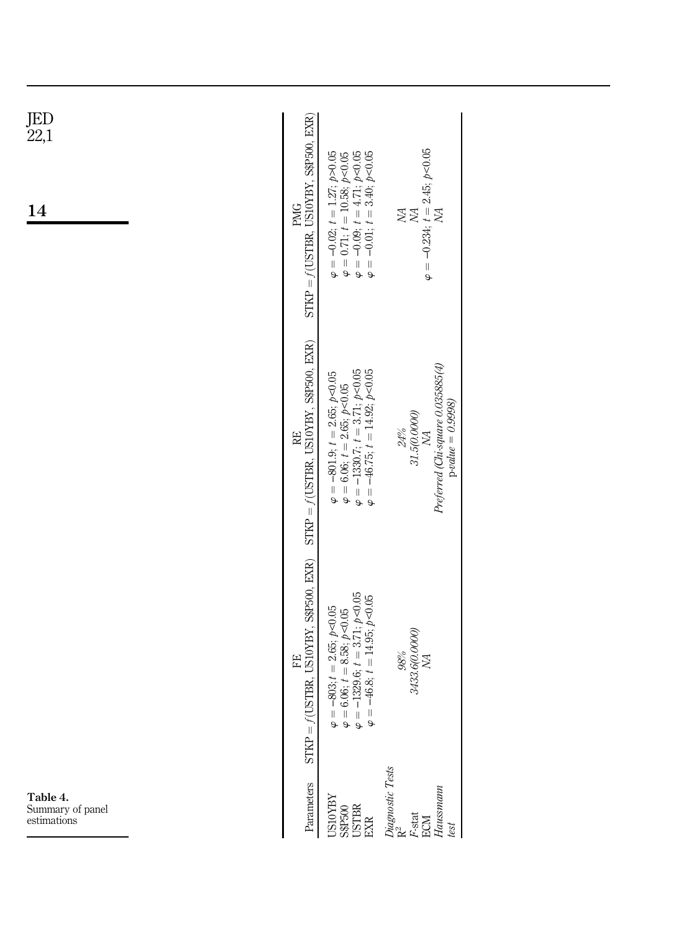<span id="page-11-0"></span>

| JED<br>22,1<br><b>14</b>                    | $STKP = f(USTBR, US10YBY, SSP500, EXR)$<br><b>PMG</b> | $\begin{array}{l} \varphi = -0.02;\,t = 1.27;\,\beta\!>\!0.05\\ \varphi = 0.71;\,t = 10.58;\,\beta\!>\!0.05\\ \varphi = -0.09;\,t = 4.71;\,\beta\!>\!0.05\\ \varphi = -0.01;\,t = 3.40;\,\beta\!>\!0.05 \end{array}$                                                                         | $\varphi = -0.234; t = 2.45; \rho < 0.05$<br>ŅД<br>XA<br>XA                                                                      |
|---------------------------------------------|-------------------------------------------------------|----------------------------------------------------------------------------------------------------------------------------------------------------------------------------------------------------------------------------------------------------------------------------------------------|----------------------------------------------------------------------------------------------------------------------------------|
|                                             | $STKP = f(USTBR, US10YBY, SSP500, EXR)$<br>RE         | $\begin{array}{l} \varphi = -801.9; \, t=2.65; \, p<0.05 \\ \varphi = 6.06; \, t=2.65; \, p<0.05 \\ \varphi = -1330.7; \, t=3.71; \, p<0.05 \\ \varphi = -46.75; \, t=14.92; \, p<0.05 \end{array}$                                                                                          | Preferred (Chi-square 0.035885(4)<br>$p-value = 0.9998$<br>$31.5(\mathcal{O}.\mathcal{O}O\mathcal{O})$<br>$24\%$<br>$\mathbb{M}$ |
|                                             | JSTBR, US10YBY, S\$P500, EXR)<br>뚣<br>$\Delta T = f($ | $-803$ ; $t = 2.65$ ; $p < 0.05$<br>$6.06$ ; $t = 8.58$ ; $p < 0.05$<br>$-1329.6$ ; $t = 3.71$ ; $p < 0.05$<br>$\varphi = -803; t = 2.65; \rho < 0.05$<br>$\varphi = 6.06; t = 8.58; \rho < 0.05$<br>$\varphi = -1329.6; t = 3.71; \rho < 0.05$<br>$\varphi = -46.8; t = 14.95; \rho < 0.05$ | 3433.6(0.0000)<br>$98\%$<br>ŃА                                                                                                   |
| Table 4.<br>Summary of panel<br>estimations | Parameters                                            | USIOYBY<br>S\$P500<br>USTBR<br>EXR                                                                                                                                                                                                                                                           | Diagnostic Tests<br>R <sup>2</sup><br>F-stat<br>ECM<br>Haussmann<br>Haussmann                                                    |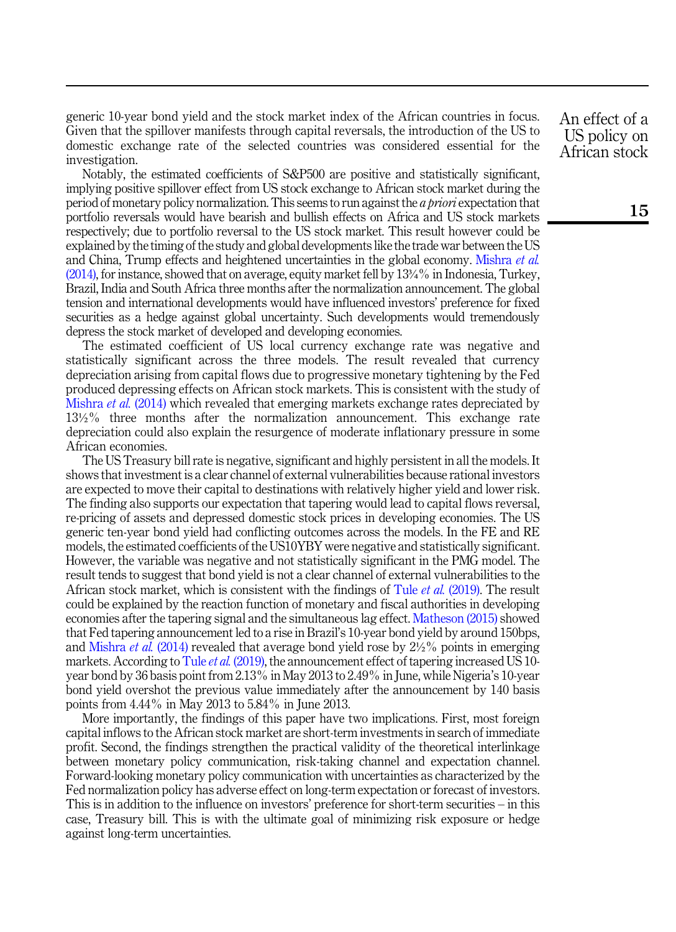generic 10-year bond yield and the stock market index of the African countries in focus. Given that the spillover manifests through capital reversals, the introduction of the US to domestic exchange rate of the selected countries was considered essential for the investigation.

Notably, the estimated coefficients of S&P500 are positive and statistically significant, implying positive spillover effect from US stock exchange to African stock market during the period of monetary policy normalization. This seems to run against the a priori expectation that portfolio reversals would have bearish and bullish effects on Africa and US stock markets respectively; due to portfolio reversal to the US stock market. This result however could be explained by the timing of the study and global developments like the trade war between the US and China, Trump effects and heightened uncertainties in the global economy. [Mishra](#page-15-1) et al. [\(2014\)](#page-15-1), for instance, showed that on average, equity market fell by 13¾% in Indonesia, Turkey, Brazil, India and South Africa three months after the normalization announcement. The global tension and international developments would have influenced investors' preference for fixed securities as a hedge against global uncertainty. Such developments would tremendously depress the stock market of developed and developing economies.

The estimated coefficient of US local currency exchange rate was negative and statistically significant across the three models. The result revealed that currency depreciation arising from capital flows due to progressive monetary tightening by the Fed produced depressing effects on African stock markets. This is consistent with the study of [Mishra](#page-15-1) *et al.* (2014) which revealed that emerging markets exchange rates depreciated by 13½% three months after the normalization announcement. This exchange rate depreciation could also explain the resurgence of moderate inflationary pressure in some African economies.

The US Treasury bill rate is negative, significant and highly persistent in all the models. It shows that investment is a clear channel of external vulnerabilities because rational investors are expected to move their capital to destinations with relatively higher yield and lower risk. The finding also supports our expectation that tapering would lead to capital flows reversal, re-pricing of assets and depressed domestic stock prices in developing economies. The US generic ten-year bond yield had conflicting outcomes across the models. In the FE and RE models, the estimated coefficients of the US10YBY were negative and statistically significant. However, the variable was negative and not statistically significant in the PMG model. The result tends to suggest that bond yield is not a clear channel of external vulnerabilities to the African stock market, which is consistent with the findings of Tule et al. [\(2019\)](#page-16-8). The result could be explained by the reaction function of monetary and fiscal authorities in developing economies after the tapering signal and the simultaneous lag effect. [Matheson \(2015\)](#page-15-2) showed that Fed tapering announcement led to a rise in Brazil's 10-year bond yield by around 150bps, and [Mishra](#page-15-1) et al.  $(2014)$  revealed that average bond yield rose by  $2\frac{1}{2}\%$  points in emerging markets. According to Tule *et al.* [\(2019\)](#page-16-8), the announcement effect of tapering increased US 10year bond by 36 basis point from 2.13% in May 2013 to 2.49% in June, while Nigeria's 10-year bond yield overshot the previous value immediately after the announcement by 140 basis points from 4.44% in May 2013 to 5.84% in June 2013.

More importantly, the findings of this paper have two implications. First, most foreign capital inflows to the African stock market are short-term investments in search of immediate profit. Second, the findings strengthen the practical validity of the theoretical interlinkage between monetary policy communication, risk-taking channel and expectation channel. Forward-looking monetary policy communication with uncertainties as characterized by the Fed normalization policy has adverse effect on long-term expectation or forecast of investors. This is in addition to the influence on investors' preference for short-term securities – in this case, Treasury bill. This is with the ultimate goal of minimizing risk exposure or hedge against long-term uncertainties.

An effect of a US policy on African stock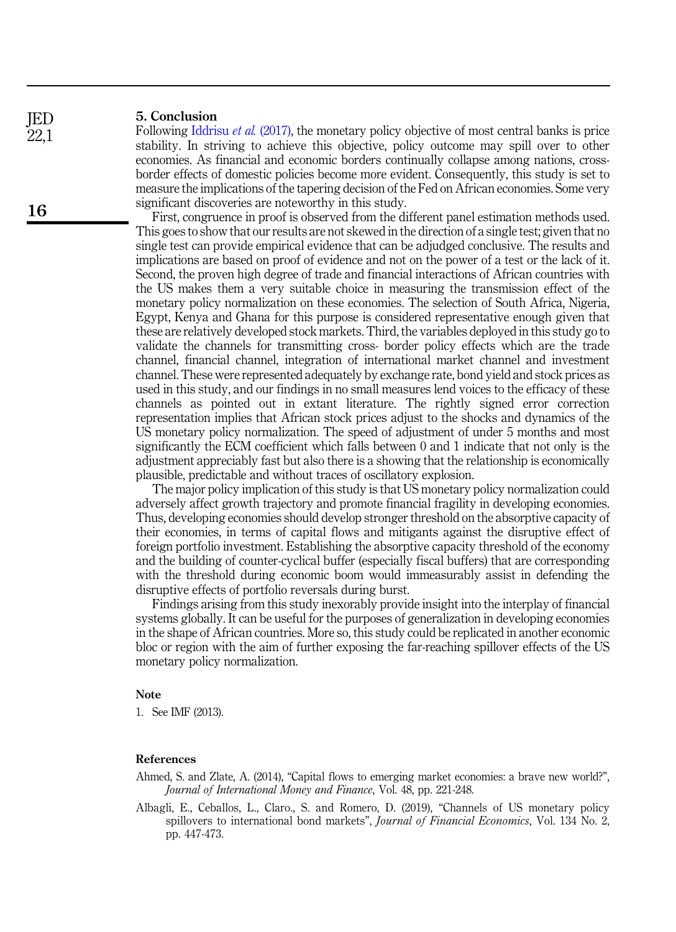# 5. Conclusion

<span id="page-13-1"></span>Following [Iddrisu](#page-14-19) *et al.* (2017), the monetary policy objective of most central banks is price stability. In striving to achieve this objective, policy outcome may spill over to other economies. As financial and economic borders continually collapse among nations, crossborder effects of domestic policies become more evident. Consequently, this study is set to measure the implications of the tapering decision of the Fed on African economies. Some very significant discoveries are noteworthy in this study.

First, congruence in proof is observed from the different panel estimation methods used. This goes to show that our results are not skewed in the direction of a single test; given that no single test can provide empirical evidence that can be adjudged conclusive. The results and implications are based on proof of evidence and not on the power of a test or the lack of it. Second, the proven high degree of trade and financial interactions of African countries with the US makes them a very suitable choice in measuring the transmission effect of the monetary policy normalization on these economies. The selection of South Africa, Nigeria, Egypt, Kenya and Ghana for this purpose is considered representative enough given that these are relatively developed stock markets. Third, the variables deployed in this study go to validate the channels for transmitting cross- border policy effects which are the trade channel, financial channel, integration of international market channel and investment channel. These were represented adequately by exchange rate, bond yield and stock prices as used in this study, and our findings in no small measures lend voices to the efficacy of these channels as pointed out in extant literature. The rightly signed error correction representation implies that African stock prices adjust to the shocks and dynamics of the US monetary policy normalization. The speed of adjustment of under 5 months and most significantly the ECM coefficient which falls between 0 and 1 indicate that not only is the adjustment appreciably fast but also there is a showing that the relationship is economically plausible, predictable and without traces of oscillatory explosion.

The major policy implication of this study is that US monetary policy normalization could adversely affect growth trajectory and promote financial fragility in developing economies. Thus, developing economies should develop stronger threshold on the absorptive capacity of their economies, in terms of capital flows and mitigants against the disruptive effect of foreign portfolio investment. Establishing the absorptive capacity threshold of the economy and the building of counter-cyclical buffer (especially fiscal buffers) that are corresponding with the threshold during economic boom would immeasurably assist in defending the disruptive effects of portfolio reversals during burst.

Findings arising from this study inexorably provide insight into the interplay of financial systems globally. It can be useful for the purposes of generalization in developing economies in the shape of African countries. More so, this study could be replicated in another economic bloc or region with the aim of further exposing the far-reaching spillover effects of the US monetary policy normalization.

#### Note

<span id="page-13-0"></span>1. See IMF (2013).

#### <span id="page-13-2"></span>References

- Ahmed, S. and Zlate, A. (2014), "Capital flows to emerging market economies: a brave new world?", Journal of International Money and Finance, Vol. 48, pp. 221-248.
- <span id="page-13-3"></span>Albagli, E., Ceballos, L., Claro., S. and Romero, D. (2019), "Channels of US monetary policy spillovers to international bond markets", *Journal of Financial Economics*, Vol. 134 No. 2, pp. 447-473.

16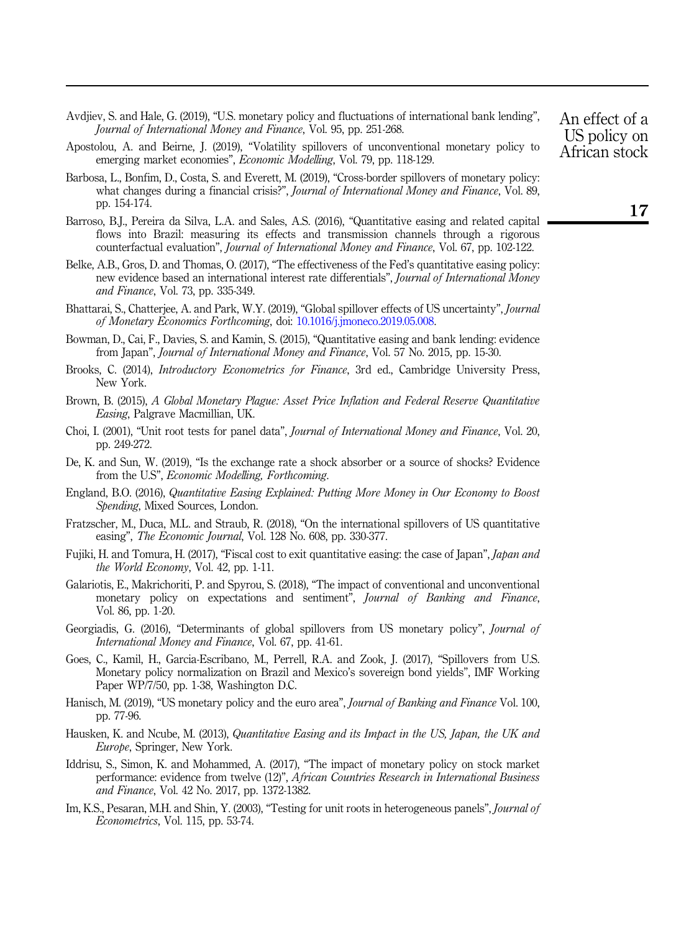- <span id="page-14-14"></span>Avdjiev, S. and Hale, G. (2019), "U.S. monetary policy and fluctuations of international bank lending", Journal of International Money and Finance, Vol. 95, pp. 251-268.
- <span id="page-14-11"></span>Apostolou, A. and Beirne, J. (2019), "Volatility spillovers of unconventional monetary policy to emerging market economies", Economic Modelling, Vol. 79, pp. 118-129.
- <span id="page-14-13"></span>Barbosa, L., Bonfim, D., Costa, S. and Everett, M. (2019), "Cross-border spillovers of monetary policy: what changes during a financial crisis?", Journal of International Money and Finance, Vol. 89, pp. 154-174.
- <span id="page-14-6"></span>Barroso, B.J., Pereira da Silva, L.A. and Sales, A.S. (2016), "Quantitative easing and related capital flows into Brazil: measuring its effects and transmission channels through a rigorous counterfactual evaluation", Journal of International Money and Finance, Vol. 67, pp. 102-122.
- <span id="page-14-0"></span>Belke, A.B., Gros, D. and Thomas, O. (2017), "The effectiveness of the Fed's quantitative easing policy: new evidence based an international interest rate differentials", Journal of International Money and Finance, Vol. 73, pp. 335-349.
- <span id="page-14-15"></span>Bhattarai, S., Chatterjee, A. and Park, W.Y. (2019), "Global spillover effects of US uncertainty", Journal of Monetary Economics Forthcoming, doi: [10.1016/j.jmoneco.2019.05.008.](https://doi.org/10.1016/j.jmoneco.2019.05.008)
- <span id="page-14-5"></span>Bowman, D., Cai, F., Davies, S. and Kamin, S. (2015), "Quantitative easing and bank lending: evidence from Japan", Journal of International Money and Finance, Vol. 57 No. 2015, pp. 15-30.
- <span id="page-14-17"></span>Brooks, C. (2014), Introductory Econometrics for Finance, 3rd ed., Cambridge University Press, New York.
- <span id="page-14-7"></span>Brown, B. (2015), A Global Monetary Plague: Asset Price Inflation and Federal Reserve Quantitative Easing, Palgrave Macmillian, UK.
- <span id="page-14-18"></span>Choi, I. (2001), "Unit root tests for panel data", Journal of International Money and Finance, Vol. 20, pp. 249-272.
- <span id="page-14-16"></span>De, K. and Sun, W. (2019), "Is the exchange rate a shock absorber or a source of shocks? Evidence from the U.S", Economic Modelling, Forthcoming.
- <span id="page-14-2"></span>England, B.O. (2016), Quantitative Easing Explained: Putting More Money in Our Economy to Boost Spending, Mixed Sources, London.
- <span id="page-14-8"></span>Fratzscher, M., Duca, M.L. and Straub, R. (2018), "On the international spillovers of US quantitative easing", *The Economic Journal*, Vol. 128 No. 608, pp. 330-377.
- <span id="page-14-4"></span>Fujiki, H. and Tomura, H. (2017), "Fiscal cost to exit quantitative easing: the case of Japan", *Japan and* the World Economy, Vol. 42, pp. 1-11.
- <span id="page-14-9"></span>Galariotis, E., Makrichoriti, P. and Spyrou, S. (2018), "The impact of conventional and unconventional monetary policy on expectations and sentiment", Journal of Banking and Finance, Vol. 86, pp. 1-20.
- <span id="page-14-10"></span>Georgiadis, G. (2016), "Determinants of global spillovers from US monetary policy", Journal of International Money and Finance, Vol. 67, pp. 41-61.
- <span id="page-14-3"></span>Goes, C., Kamil, H., Garcia-Escribano, M., Perrell, R.A. and Zook, J. (2017), "Spillovers from U.S. Monetary policy normalization on Brazil and Mexico's sovereign bond yields", IMF Working Paper WP/7/50, pp. 1-38, Washington D.C.
- <span id="page-14-12"></span>Hanisch, M. (2019), "US monetary policy and the euro area", Journal of Banking and Finance Vol. 100, pp. 77-96.
- <span id="page-14-1"></span>Hausken, K. and Ncube, M. (2013), Quantitative Easing and its Impact in the US, Japan, the UK and Europe, Springer, New York.
- <span id="page-14-19"></span>Iddrisu, S., Simon, K. and Mohammed, A. (2017), "The impact of monetary policy on stock market performance: evidence from twelve (12)", African Countries Research in International Business and Finance, Vol. 42 No. 2017, pp. 1372-1382.
- Im, K.S., Pesaran, M.H. and Shin, Y. (2003), "Testing for unit roots in heterogeneous panels", *Journal of* Econometrics, Vol. 115, pp. 53-74.

An effect of a US policy on African stock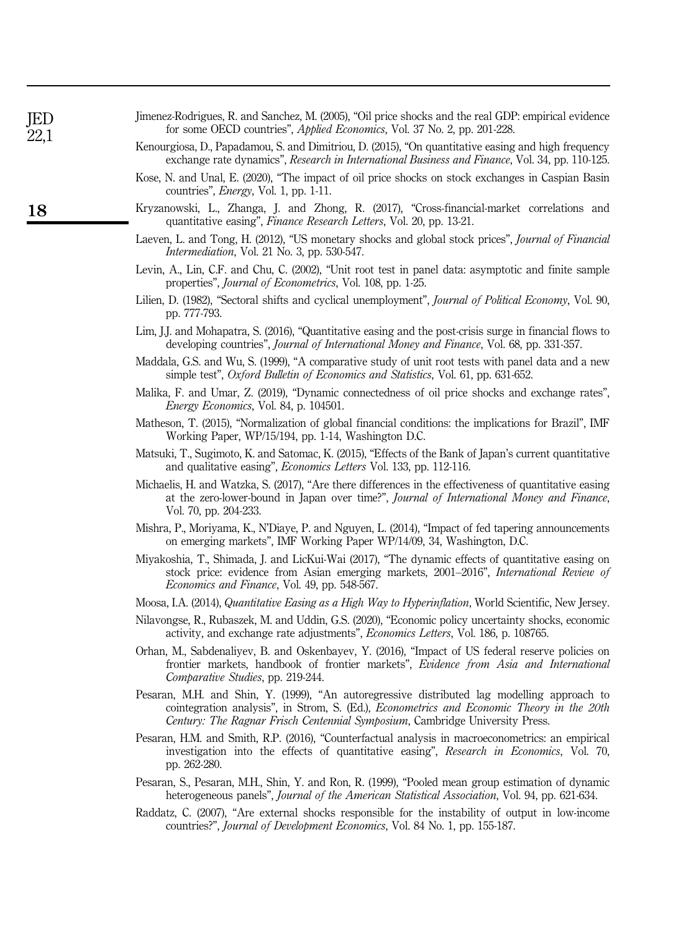<span id="page-15-21"></span><span id="page-15-20"></span><span id="page-15-19"></span><span id="page-15-18"></span><span id="page-15-17"></span><span id="page-15-16"></span><span id="page-15-14"></span><span id="page-15-13"></span><span id="page-15-12"></span><span id="page-15-11"></span><span id="page-15-9"></span><span id="page-15-8"></span><span id="page-15-6"></span><span id="page-15-4"></span><span id="page-15-3"></span><span id="page-15-2"></span><span id="page-15-1"></span><span id="page-15-0"></span>

| Kenourgiosa, D., Papadamou, S. and Dimitriou, D. (2015), "On quantitative easing and high frequency<br>exchange rate dynamics", Research in International Business and Finance, Vol. 34, pp. 110-125.                                                                    |
|--------------------------------------------------------------------------------------------------------------------------------------------------------------------------------------------------------------------------------------------------------------------------|
| Kose, N. and Unal, E. (2020), "The impact of oil price shocks on stock exchanges in Caspian Basin<br>countries", <i>Energy</i> , Vol. 1, pp. 1-11.                                                                                                                       |
| Kryzanowski, L., Zhanga, J. and Zhong, R. (2017), "Cross-financial-market correlations and<br>quantitative easing", Finance Research Letters, Vol. 20, pp. 13-21.                                                                                                        |
| Laeven, L. and Tong, H. (2012), "US monetary shocks and global stock prices", Journal of Financial<br><i>Intermediation</i> , Vol. 21 No. 3, pp. 530-547.                                                                                                                |
| Levin, A., Lin, C.F. and Chu, C. (2002), "Unit root test in panel data: asymptotic and finite sample<br>properties", <i>Journal of Econometrics</i> , Vol. 108, pp. 1-25.                                                                                                |
| Lilien, D. (1982), "Sectoral shifts and cyclical unemployment", Journal of Political Economy, Vol. 90,<br>pp. 777-793.                                                                                                                                                   |
| Lim, J.J. and Mohapatra, S. (2016), "Quantitative easing and the post-crisis surge in financial flows to<br>developing countries", Journal of International Money and Finance, Vol. 68, pp. 331-357.                                                                     |
| Maddala, G.S. and Wu, S. (1999), "A comparative study of unit root tests with panel data and a new<br>simple test", Oxford Bulletin of Economics and Statistics, Vol. 61, pp. 631-652.                                                                                   |
| Malika, F. and Umar, Z. (2019), "Dynamic connectedness of oil price shocks and exchange rates",<br><i>Energy Economics</i> , Vol. 84, p. 104501.                                                                                                                         |
| Matheson, T. (2015), "Normalization of global financial conditions: the implications for Brazil", IMF<br>Working Paper, WP/15/194, pp. 1-14, Washington D.C.                                                                                                             |
| Matsuki, T., Sugimoto, K. and Satomac, K. (2015), "Effects of the Bank of Japan's current quantitative<br>and qualitative easing", <i>Economics Letters</i> Vol. 133, pp. 112-116.                                                                                       |
| Michaelis, H. and Watzka, S. (2017), "Are there differences in the effectiveness of quantitative easing<br>at the zero-lower-bound in Japan over time?", Journal of International Money and Finance,<br>Vol. 70, pp. 204-233.                                            |
| Mishra, P., Moriyama, K., N'Diaye, P. and Nguyen, L. (2014), "Impact of fed tapering announcements<br>on emerging markets", IMF Working Paper WP/14/09, 34, Washington, D.C.                                                                                             |
| Miyakoshia, T., Shimada, J. and LicKui-Wai (2017), "The dynamic effects of quantitative easing on<br>stock price: evidence from Asian emerging markets, 2001–2016", International Review of<br>Economics and Finance, Vol. 49, pp. 548-567.                              |
| Moosa, I.A. (2014), Quantitative Easing as a High Way to Hyperinflation, World Scientific, New Jersey.                                                                                                                                                                   |
| Nilavongse, R., Rubaszek, M. and Uddin, G.S. (2020), "Economic policy uncertainty shocks, economic<br>activity, and exchange rate adjustments", Economics Letters, Vol. 186, p. 108765.                                                                                  |
| Orhan, M., Sabdenaliyev, B. and Oskenbayev, Y. (2016), "Impact of US federal reserve policies on<br>frontier markets, handbook of frontier markets", Evidence from Asia and International<br>Comparative Studies, pp. 219-244.                                           |
| Pesaran, M.H. and Shin, Y. (1999), "An autoregressive distributed lag modelling approach to<br>cointegration analysis", in Strom, S. (Ed.), Econometrics and Economic Theory in the 20th<br>Century: The Ragnar Frisch Centennial Symposium, Cambridge University Press. |
| Pesaran, H.M. and Smith, R.P. (2016), "Counterfactual analysis in macroeconometrics: an empirical<br>investigation into the effects of quantitative easing", Research in Economics, Vol. 70,<br>pp. 262-280.                                                             |
| Pesaran, S., Pesaran, M.H., Shin, Y. and Ron, R. (1999), "Pooled mean group estimation of dynamic<br>heterogeneous panels", Journal of the American Statistical Association, Vol. 94, pp. 621-634.                                                                       |
| Raddatz, C. (2007), "Are external shocks responsible for the instability of output in low-income<br>countries?", Journal of Development Economics, Vol. 84 No. 1, pp. 155-187.                                                                                           |
|                                                                                                                                                                                                                                                                          |
|                                                                                                                                                                                                                                                                          |

<span id="page-15-10"></span><span id="page-15-7"></span>Jimenez-Rodrigues, R. and Sanchez, M. (2005), "Oil price shocks and the real GDP: empirical evidence

<span id="page-15-15"></span><span id="page-15-5"></span>for some OECD countries", Applied Economics, Vol. 37 No. 2, pp. 201-228.

JED 22,1